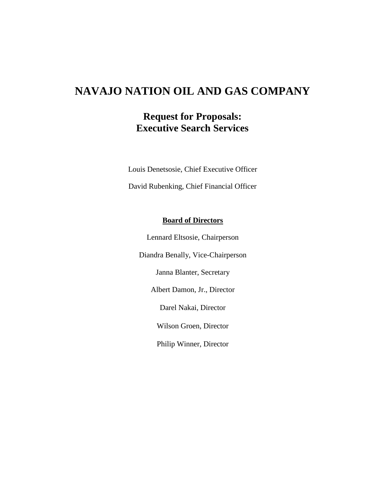# **NAVAJO NATION OIL AND GAS COMPANY**

## **Request for Proposals: Executive Search Services**

Louis Denetsosie, Chief Executive Officer David Rubenking, Chief Financial Officer

#### **Board of Directors**

Lennard Eltsosie, Chairperson Diandra Benally, Vice-Chairperson Janna Blanter, Secretary Albert Damon, Jr., Director Darel Nakai, Director Wilson Groen, Director Philip Winner, Director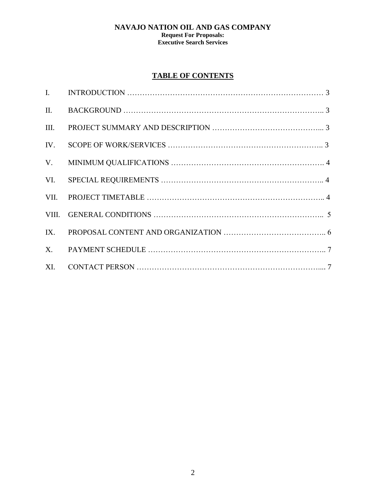## **NAVAJO NATION OIL AND GAS COMPANY**

#### **Request For Proposals: Executive Search Services**

## **TABLE OF CONTENTS**

| $\mathbf{I}$ . | INTRODUCTION $\ldots$ $\ldots$ $\ldots$ $\ldots$ $\ldots$ $\ldots$ $\ldots$ $\ldots$ $\ldots$ $\ldots$ $\ldots$ $\ldots$ $\ldots$ $\ldots$ $\ldots$ $\ldots$ $\ldots$ $\ldots$ $\ldots$ $\ldots$ $\ldots$ $\ldots$ $\ldots$ $\ldots$ $\ldots$ $\ldots$ $\ldots$ $\ldots$ $\ldots$ $\ldots$ $\ldots$ $\ldots$ $\ldots$ $\ldots$ $\ldots$ |
|----------------|-----------------------------------------------------------------------------------------------------------------------------------------------------------------------------------------------------------------------------------------------------------------------------------------------------------------------------------------|
| II.            |                                                                                                                                                                                                                                                                                                                                         |
| III.           |                                                                                                                                                                                                                                                                                                                                         |
| IV.            |                                                                                                                                                                                                                                                                                                                                         |
| V.             |                                                                                                                                                                                                                                                                                                                                         |
| VI.            |                                                                                                                                                                                                                                                                                                                                         |
| VII.           |                                                                                                                                                                                                                                                                                                                                         |
| VIII.          |                                                                                                                                                                                                                                                                                                                                         |
| IX.            |                                                                                                                                                                                                                                                                                                                                         |
| $X_{\cdot}$    |                                                                                                                                                                                                                                                                                                                                         |
| XI.            |                                                                                                                                                                                                                                                                                                                                         |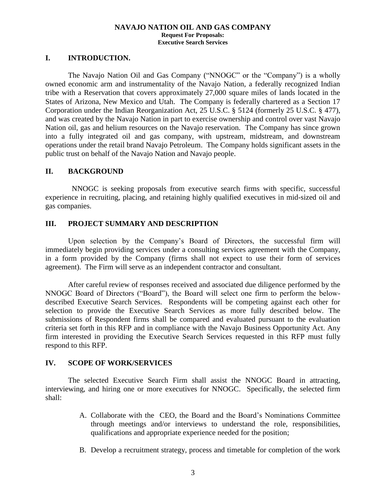#### **I. INTRODUCTION.**

The Navajo Nation Oil and Gas Company ("NNOGC" or the "Company") is a wholly owned economic arm and instrumentality of the Navajo Nation, a federally recognized Indian tribe with a Reservation that covers approximately 27,000 square miles of lands located in the States of Arizona, New Mexico and Utah. The Company is federally chartered as a Section 17 Corporation under the Indian Reorganization Act, 25 U.S.C. § 5124 (formerly 25 U.S.C. § 477), and was created by the Navajo Nation in part to exercise ownership and control over vast Navajo Nation oil, gas and helium resources on the Navajo reservation. The Company has since grown into a fully integrated oil and gas company, with upstream, midstream, and downstream operations under the retail brand Navajo Petroleum. The Company holds significant assets in the public trust on behalf of the Navajo Nation and Navajo people.

#### **II. BACKGROUND**

 NNOGC is seeking proposals from executive search firms with specific, successful experience in recruiting, placing, and retaining highly qualified executives in mid-sized oil and gas companies.

#### **III. PROJECT SUMMARY AND DESCRIPTION**

Upon selection by the Company's Board of Directors, the successful firm will immediately begin providing services under a consulting services agreement with the Company, in a form provided by the Company (firms shall not expect to use their form of services agreement). The Firm will serve as an independent contractor and consultant.

After careful review of responses received and associated due diligence performed by the NNOGC Board of Directors ("Board"), the Board will select one firm to perform the belowdescribed Executive Search Services. Respondents will be competing against each other for selection to provide the Executive Search Services as more fully described below. The submissions of Respondent firms shall be compared and evaluated pursuant to the evaluation criteria set forth in this RFP and in compliance with the Navajo Business Opportunity Act. Any firm interested in providing the Executive Search Services requested in this RFP must fully respond to this RFP.

#### **IV. SCOPE OF WORK/SERVICES**

The selected Executive Search Firm shall assist the NNOGC Board in attracting, interviewing, and hiring one or more executives for NNOGC. Specifically, the selected firm shall:

- A. Collaborate with the CEO, the Board and the Board's Nominations Committee through meetings and/or interviews to understand the role, responsibilities, qualifications and appropriate experience needed for the position;
- B. Develop a recruitment strategy, process and timetable for completion of the work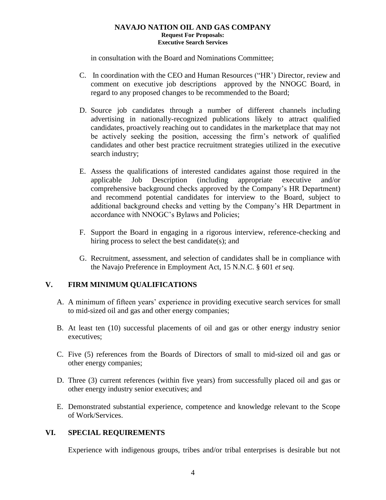in consultation with the Board and Nominations Committee;

- C. In coordination with the CEO and Human Resources ("HR') Director, review and comment on executive job descriptions approved by the NNOGC Board, in regard to any proposed changes to be recommended to the Board;
- D. Source job candidates through a number of different channels including advertising in nationally-recognized publications likely to attract qualified candidates, proactively reaching out to candidates in the marketplace that may not be actively seeking the position, accessing the firm's network of qualified candidates and other best practice recruitment strategies utilized in the executive search industry;
- E. Assess the qualifications of interested candidates against those required in the applicable Job Description (including appropriate executive and/or comprehensive background checks approved by the Company's HR Department) and recommend potential candidates for interview to the Board, subject to additional background checks and vetting by the Company's HR Department in accordance with NNOGC's Bylaws and Policies;
- F. Support the Board in engaging in a rigorous interview, reference-checking and hiring process to select the best candidate(s); and
- G. Recruitment, assessment, and selection of candidates shall be in compliance with the Navajo Preference in Employment Act, 15 N.N.C. § 601 *et seq*.

## **V. FIRM MINIMUM QUALIFICATIONS**

- A. A minimum of fifteen years' experience in providing executive search services for small to mid-sized oil and gas and other energy companies;
- B. At least ten (10) successful placements of oil and gas or other energy industry senior executives;
- C. Five (5) references from the Boards of Directors of small to mid-sized oil and gas or other energy companies;
- D. Three (3) current references (within five years) from successfully placed oil and gas or other energy industry senior executives; and
- E. Demonstrated substantial experience, competence and knowledge relevant to the Scope of Work/Services.

## **VI. SPECIAL REQUIREMENTS**

Experience with indigenous groups, tribes and/or tribal enterprises is desirable but not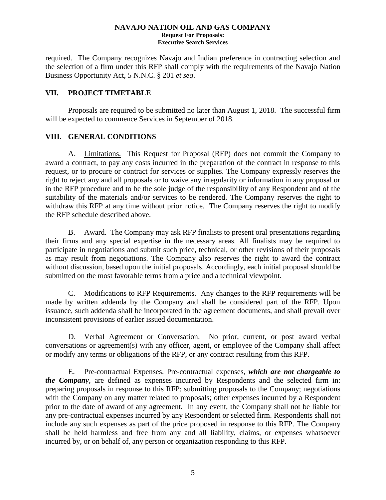required. The Company recognizes Navajo and Indian preference in contracting selection and the selection of a firm under this RFP shall comply with the requirements of the Navajo Nation Business Opportunity Act, 5 N.N.C. § 201 *et seq*.

### **VII. PROJECT TIMETABLE**

Proposals are required to be submitted no later than August 1, 2018. The successful firm will be expected to commence Services in September of 2018.

### **VIII. GENERAL CONDITIONS**

A. Limitations. This Request for Proposal (RFP) does not commit the Company to award a contract, to pay any costs incurred in the preparation of the contract in response to this request, or to procure or contract for services or supplies. The Company expressly reserves the right to reject any and all proposals or to waive any irregularity or information in any proposal or in the RFP procedure and to be the sole judge of the responsibility of any Respondent and of the suitability of the materials and/or services to be rendered. The Company reserves the right to withdraw this RFP at any time without prior notice. The Company reserves the right to modify the RFP schedule described above.

B. Award. The Company may ask RFP finalists to present oral presentations regarding their firms and any special expertise in the necessary areas. All finalists may be required to participate in negotiations and submit such price, technical, or other revisions of their proposals as may result from negotiations. The Company also reserves the right to award the contract without discussion, based upon the initial proposals. Accordingly, each initial proposal should be submitted on the most favorable terms from a price and a technical viewpoint.

C. Modifications to RFP Requirements. Any changes to the RFP requirements will be made by written addenda by the Company and shall be considered part of the RFP. Upon issuance, such addenda shall be incorporated in the agreement documents, and shall prevail over inconsistent provisions of earlier issued documentation.

nent:<br><u>tion</u><br>r, ag D. Verbal Agreement or Conversation. No prior, current, or post award verbal conversations or agreement(s) with any officer, agent, or employee of the Company shall affect or modify any terms or obligations of the RFP, or any contract resulting from this RFP.

E. Pre-contractual Expenses. Pre-contractual expenses, *which are not chargeable to the Company*, are defined as expenses incurred by Respondents and the selected firm in: preparing proposals in response to this RFP; submitting proposals to the Company; negotiations with the Company on any matter related to proposals; other expenses incurred by a Respondent prior to the date of award of any agreement. In any event, the Company shall not be liable for any pre-contractual expenses incurred by any Respondent or selected firm. Respondents shall not include any such expenses as part of the price proposed in response to this RFP. The Company shall be held harmless and free from any and all liability, claims, or expenses whatsoever incurred by, or on behalf of, any person or organization responding to this RFP.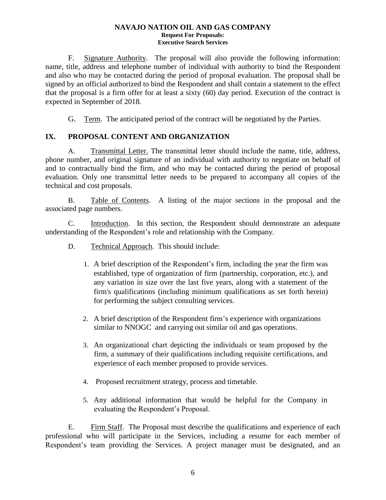F. Signature Authority. The proposal will also provide the following information: name, title, address and telephone number of individual with authority to bind the Respondent and also who may be contacted during the period of proposal evaluation. The proposal shall be signed by an official authorized to bind the Respondent and shall contain a statement to the effect that the proposal is a firm offer for at least a sixty (60) day period. Execution of the contract is expected in September of 2018.

G. Term. The anticipated period of the contract will be negotiated by the Parties.

## **IX. PROPOSAL CONTENT AND ORGANIZATION**

A. Transmittal Letter. The transmittal letter should include the name, title, address, phone number, and original signature of an individual with authority to negotiate on behalf of and to contractually bind the firm, and who may be contacted during the period of proposal evaluation. Only one transmittal letter needs to be prepared to accompany all copies of the technical and cost proposals.

B. Table of Contents. A listing of the major sections in the proposal and the associated page numbers.

C. Introduction. In this section, the Respondent should demonstrate an adequate understanding of the Respondent's role and relationship with the Company.

- D. Technical Approach. This should include:
	- 1. A brief description of the Respondent's firm, including the year the firm was established, type of organization of firm (partnership, corporation, etc.), and any variation in size over the last five years, along with a statement of the firm's qualifications (including minimum qualifications as set forth herein) for performing the subject consulting services.
	- 2. A brief description of the Respondent firm's experience with organizations similar to NNOGC and carrying out similar oil and gas operations.
	- 3. An organizational chart depicting the individuals or team proposed by the firm, a summary of their qualifications including requisite certifications, and experience of each member proposed to provide services.
	- 4. Proposed recruitment strategy, process and timetable.
	- 5. Any additional information that would be helpful for the Company in evaluating the Respondent's Proposal.

E. Firm Staff. The Proposal must describe the qualifications and experience of each professional who will participate in the Services, including a resume for each member of Respondent's team providing the Services. A project manager must be designated, and an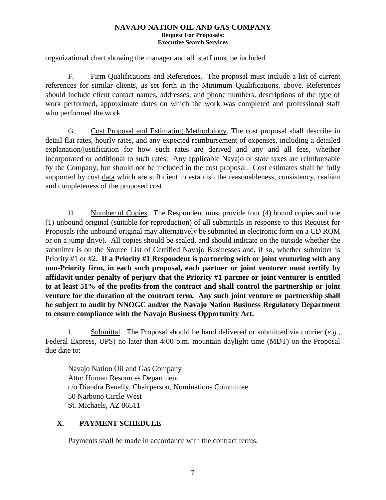organizational chart showing the manager and all staff must be included.

F. Firm Qualifications and References. The proposal must include a list of current references for similar clients, as set forth in the Minimum Qualifications, above. References should include client contact names, addresses, and phone numbers, descriptions of the type of work performed, approximate dates on which the work was completed and professional staff who performed the work.

G. Cost Proposal and Estimating Methodology. The cost proposal shall describe in detail flat rates, hourly rates, and any expected reimbursement of expenses, including a detailed explanation/justification for how such rates are derived and any and all fees, whether incorporated or additional to such rates. Any applicable Navajo or state taxes are reimbursable by the Company, but should not be included in the cost proposal. Cost estimates shall be fully supported by cost data which are sufficient to establish the reasonableness, consistency, realism and completeness of the proposed cost.

H. Number of Copies. The Respondent must provide four (4) bound copies and one (1) unbound original (suitable for reproduction) of all submittals in response to this Request for Proposals (the unbound original may alternatively be submitted in electronic form on a CD ROM or on a jump drive). All copies should be sealed, and should indicate on the outside whether the submitter is on the Source List of Certified Navajo Businesses and, if so, whether submitter is Priority #1 or #2. **If a Priority #1 Respondent is partnering with or joint venturing with any non-Priority firm, in each such proposal, each partner or joint venturer must certify by affidavit under penalty of perjury that the Priority #1 partner or joint venturer is entitled to at least 51% of the profits from the contract and shall control the partnership or joint venture for the duration of the contract term. Any such joint venture or partnership shall be subject to audit by NNOGC and/or the Navajo Nation Business Regulatory Department to ensure compliance with the Navajo Business Opportunity Act.**

I. Submittal. The Proposal should be hand delivered or submitted via courier (*e.g.*, Federal Express, UPS) no later than 4:00 p.m. mountain daylight time (MDT) on the Proposal due date to:

Navajo Nation Oil and Gas Company Attn: Human Resources Department c/o Diandra Benally, Chairperson, Nominations Committee 50 Narbono Circle West St. Michaels, AZ 86511

## **X. PAYMENT SCHEDULE**

Payments shall be made in accordance with the contract terms.